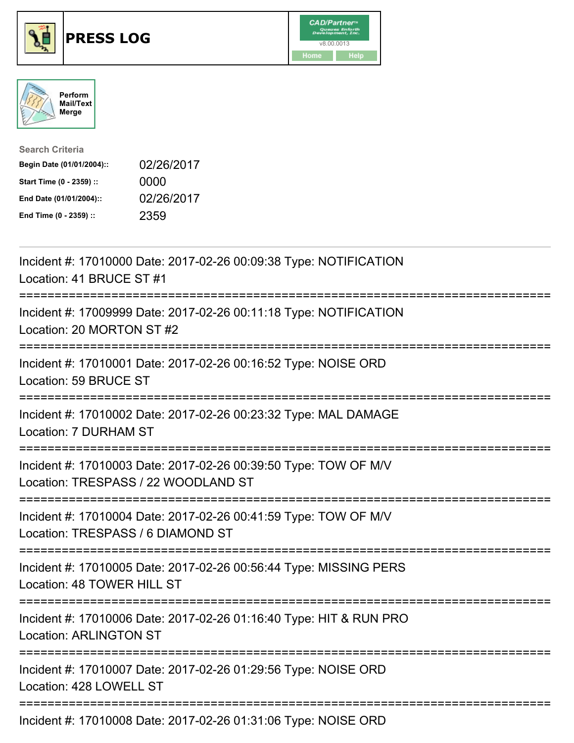





| <b>Search Criteria</b>    |            |
|---------------------------|------------|
| Begin Date (01/01/2004):: | 02/26/2017 |
| Start Time (0 - 2359) ::  | 0000       |
| End Date (01/01/2004)::   | 02/26/2017 |
| End Time (0 - 2359) ::    | 2359       |

| Incident #: 17010000 Date: 2017-02-26 00:09:38 Type: NOTIFICATION<br>Location: 41 BRUCE ST #1<br>=============                            |
|-------------------------------------------------------------------------------------------------------------------------------------------|
| Incident #: 17009999 Date: 2017-02-26 00:11:18 Type: NOTIFICATION<br>Location: 20 MORTON ST #2                                            |
| Incident #: 17010001 Date: 2017-02-26 00:16:52 Type: NOISE ORD<br>Location: 59 BRUCE ST                                                   |
| Incident #: 17010002 Date: 2017-02-26 00:23:32 Type: MAL DAMAGE<br>Location: 7 DURHAM ST                                                  |
| Incident #: 17010003 Date: 2017-02-26 00:39:50 Type: TOW OF M/V<br>Location: TRESPASS / 22 WOODLAND ST<br>;============================== |
| Incident #: 17010004 Date: 2017-02-26 00:41:59 Type: TOW OF M/V<br>Location: TRESPASS / 6 DIAMOND ST<br>-------------------------         |
| Incident #: 17010005 Date: 2017-02-26 00:56:44 Type: MISSING PERS<br>Location: 48 TOWER HILL ST                                           |
| Incident #: 17010006 Date: 2017-02-26 01:16:40 Type: HIT & RUN PRO<br><b>Location: ARLINGTON ST</b>                                       |
| Incident #: 17010007 Date: 2017-02-26 01:29:56 Type: NOISE ORD<br>Location: 428 LOWELL ST                                                 |
| Incident #: 17010008 Date: 2017-02-26 01:31:06 Type: NOISE ORD                                                                            |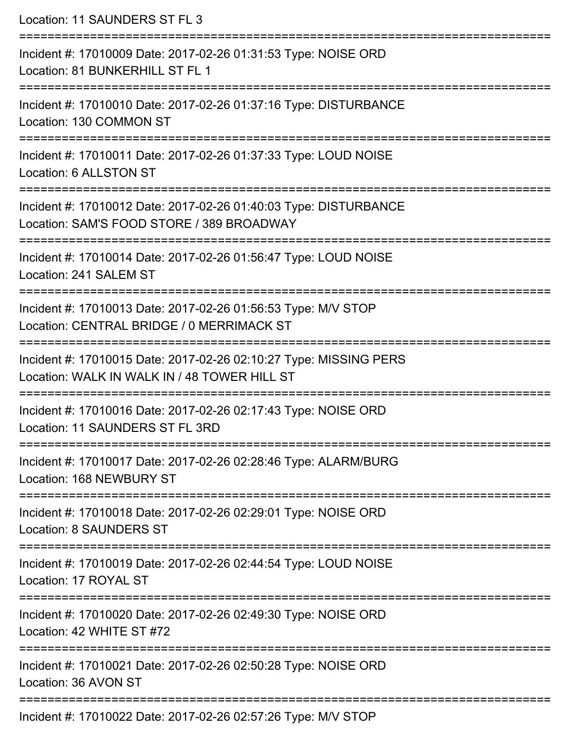Location: 11 SAUNDERS ST FL 3 =========================================================================== Incident #: 17010009 Date: 2017-02-26 01:31:53 Type: NOISE ORD Location: 81 BUNKERHILL ST FL 1 =========================================================================== Incident #: 17010010 Date: 2017-02-26 01:37:16 Type: DISTURBANCE Location: 130 COMMON ST =========================================================================== Incident #: 17010011 Date: 2017-02-26 01:37:33 Type: LOUD NOISE Location: 6 ALLSTON ST =========================================================================== Incident #: 17010012 Date: 2017-02-26 01:40:03 Type: DISTURBANCE Location: SAM'S FOOD STORE / 389 BROADWAY =========================================================================== Incident #: 17010014 Date: 2017-02-26 01:56:47 Type: LOUD NOISE Location: 241 SALEM ST =========================================================================== Incident #: 17010013 Date: 2017-02-26 01:56:53 Type: M/V STOP Location: CENTRAL BRIDGE / 0 MERRIMACK ST =========================================================================== Incident #: 17010015 Date: 2017-02-26 02:10:27 Type: MISSING PERS Location: WALK IN WALK IN / 48 TOWER HILL ST =========================================================================== Incident #: 17010016 Date: 2017-02-26 02:17:43 Type: NOISE ORD Location: 11 SAUNDERS ST FL 3RD =========================================================================== Incident #: 17010017 Date: 2017-02-26 02:28:46 Type: ALARM/BURG Location: 168 NEWBURY ST =========================================================================== Incident #: 17010018 Date: 2017-02-26 02:29:01 Type: NOISE ORD Location: 8 SAUNDERS ST =========================================================================== Incident #: 17010019 Date: 2017-02-26 02:44:54 Type: LOUD NOISE Location: 17 ROYAL ST =========================================================================== Incident #: 17010020 Date: 2017-02-26 02:49:30 Type: NOISE ORD Location: 42 WHITE ST #72 =========================================================================== Incident #: 17010021 Date: 2017-02-26 02:50:28 Type: NOISE ORD Location: 36 AVON ST ===========================================================================

Incident #: 17010022 Date: 2017-02-26 02:57:26 Type: M/V STOP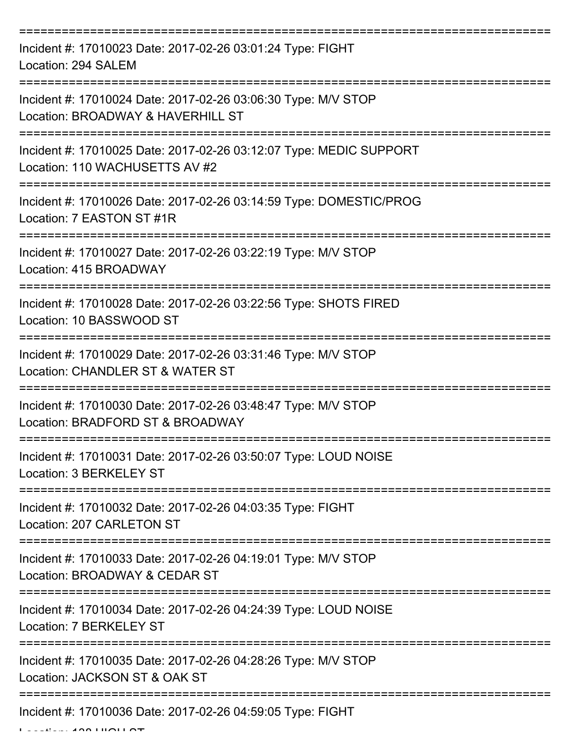| Incident #: 17010023 Date: 2017-02-26 03:01:24 Type: FIGHT<br>Location: 294 SALEM                    |
|------------------------------------------------------------------------------------------------------|
| Incident #: 17010024 Date: 2017-02-26 03:06:30 Type: M/V STOP<br>Location: BROADWAY & HAVERHILL ST   |
| Incident #: 17010025 Date: 2017-02-26 03:12:07 Type: MEDIC SUPPORT<br>Location: 110 WACHUSETTS AV #2 |
| Incident #: 17010026 Date: 2017-02-26 03:14:59 Type: DOMESTIC/PROG<br>Location: 7 EASTON ST #1R      |
| Incident #: 17010027 Date: 2017-02-26 03:22:19 Type: M/V STOP<br>Location: 415 BROADWAY              |
| Incident #: 17010028 Date: 2017-02-26 03:22:56 Type: SHOTS FIRED<br>Location: 10 BASSWOOD ST         |
| Incident #: 17010029 Date: 2017-02-26 03:31:46 Type: M/V STOP<br>Location: CHANDLER ST & WATER ST    |
| Incident #: 17010030 Date: 2017-02-26 03:48:47 Type: M/V STOP<br>Location: BRADFORD ST & BROADWAY    |
| Incident #: 17010031 Date: 2017-02-26 03:50:07 Type: LOUD NOISE<br>Location: 3 BERKELEY ST           |
| Incident #: 17010032 Date: 2017-02-26 04:03:35 Type: FIGHT<br>Location: 207 CARLETON ST              |
| Incident #: 17010033 Date: 2017-02-26 04:19:01 Type: M/V STOP<br>Location: BROADWAY & CEDAR ST       |
| Incident #: 17010034 Date: 2017-02-26 04:24:39 Type: LOUD NOISE<br>Location: 7 BERKELEY ST           |
| Incident #: 17010035 Date: 2017-02-26 04:28:26 Type: M/V STOP<br>Location: JACKSON ST & OAK ST       |
| Incident #: 17010036 Date: 2017-02-26 04:59:05 Type: FIGHT                                           |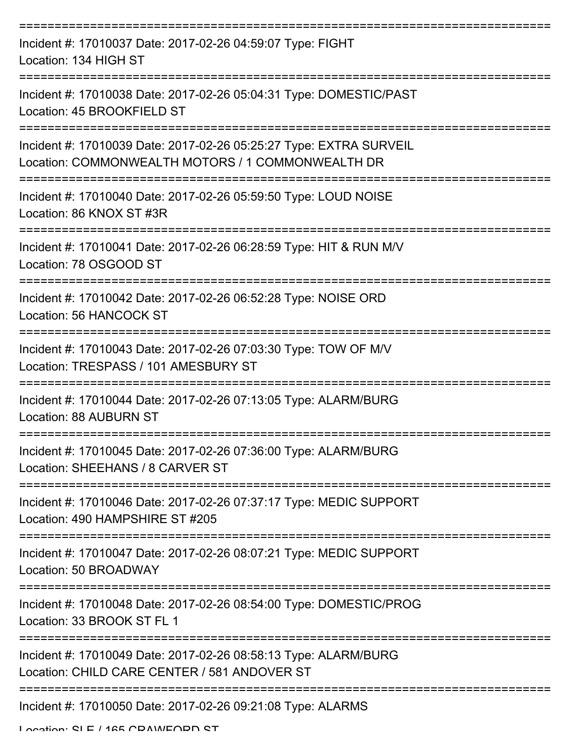| Incident #: 17010037 Date: 2017-02-26 04:59:07 Type: FIGHT<br>Location: 134 HIGH ST                                     |
|-------------------------------------------------------------------------------------------------------------------------|
| Incident #: 17010038 Date: 2017-02-26 05:04:31 Type: DOMESTIC/PAST<br>Location: 45 BROOKFIELD ST                        |
| Incident #: 17010039 Date: 2017-02-26 05:25:27 Type: EXTRA SURVEIL<br>Location: COMMONWEALTH MOTORS / 1 COMMONWEALTH DR |
| Incident #: 17010040 Date: 2017-02-26 05:59:50 Type: LOUD NOISE<br>Location: 86 KNOX ST #3R                             |
| Incident #: 17010041 Date: 2017-02-26 06:28:59 Type: HIT & RUN M/V<br>Location: 78 OSGOOD ST                            |
| Incident #: 17010042 Date: 2017-02-26 06:52:28 Type: NOISE ORD<br>Location: 56 HANCOCK ST                               |
| Incident #: 17010043 Date: 2017-02-26 07:03:30 Type: TOW OF M/V<br>Location: TRESPASS / 101 AMESBURY ST                 |
| Incident #: 17010044 Date: 2017-02-26 07:13:05 Type: ALARM/BURG<br>Location: 88 AUBURN ST                               |
| Incident #: 17010045 Date: 2017-02-26 07:36:00 Type: ALARM/BURG<br>Location: SHEEHANS / 8 CARVER ST                     |
| Incident #: 17010046 Date: 2017-02-26 07:37:17 Type: MEDIC SUPPORT<br>Location: 490 HAMPSHIRE ST #205                   |
| Incident #: 17010047 Date: 2017-02-26 08:07:21 Type: MEDIC SUPPORT<br>Location: 50 BROADWAY                             |
| Incident #: 17010048 Date: 2017-02-26 08:54:00 Type: DOMESTIC/PROG<br>Location: 33 BROOK ST FL 1                        |
| Incident #: 17010049 Date: 2017-02-26 08:58:13 Type: ALARM/BURG<br>Location: CHILD CARE CENTER / 581 ANDOVER ST         |
| Incident #: 17010050 Date: 2017-02-26 09:21:08 Type: ALARMS<br>I occion: CI E / 165 CDAINEODD CT                        |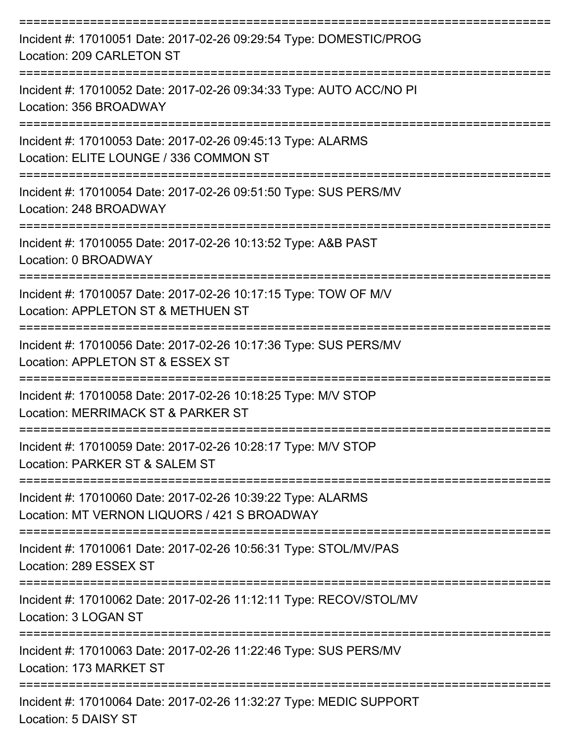| Incident #: 17010051 Date: 2017-02-26 09:29:54 Type: DOMESTIC/PROG<br>Location: 209 CARLETON ST                      |
|----------------------------------------------------------------------------------------------------------------------|
| Incident #: 17010052 Date: 2017-02-26 09:34:33 Type: AUTO ACC/NO PI<br>Location: 356 BROADWAY<br>:================== |
| Incident #: 17010053 Date: 2017-02-26 09:45:13 Type: ALARMS<br>Location: ELITE LOUNGE / 336 COMMON ST                |
| Incident #: 17010054 Date: 2017-02-26 09:51:50 Type: SUS PERS/MV<br>Location: 248 BROADWAY                           |
| Incident #: 17010055 Date: 2017-02-26 10:13:52 Type: A&B PAST<br>Location: 0 BROADWAY                                |
| Incident #: 17010057 Date: 2017-02-26 10:17:15 Type: TOW OF M/V<br>Location: APPLETON ST & METHUEN ST                |
| Incident #: 17010056 Date: 2017-02-26 10:17:36 Type: SUS PERS/MV<br>Location: APPLETON ST & ESSEX ST                 |
| Incident #: 17010058 Date: 2017-02-26 10:18:25 Type: M/V STOP<br>Location: MERRIMACK ST & PARKER ST                  |
| Incident #: 17010059 Date: 2017-02-26 10:28:17 Type: M/V STOP<br>Location: PARKER ST & SALEM ST                      |
| Incident #: 17010060 Date: 2017-02-26 10:39:22 Type: ALARMS<br>Location: MT VERNON LIQUORS / 421 S BROADWAY          |
| Incident #: 17010061 Date: 2017-02-26 10:56:31 Type: STOL/MV/PAS<br>Location: 289 ESSEX ST                           |
| Incident #: 17010062 Date: 2017-02-26 11:12:11 Type: RECOV/STOL/MV<br>Location: 3 LOGAN ST                           |
| Incident #: 17010063 Date: 2017-02-26 11:22:46 Type: SUS PERS/MV<br>Location: 173 MARKET ST                          |
| Incident #: 17010064 Date: 2017-02-26 11:32:27 Type: MEDIC SUPPORT<br>Location: 5 DAISY ST                           |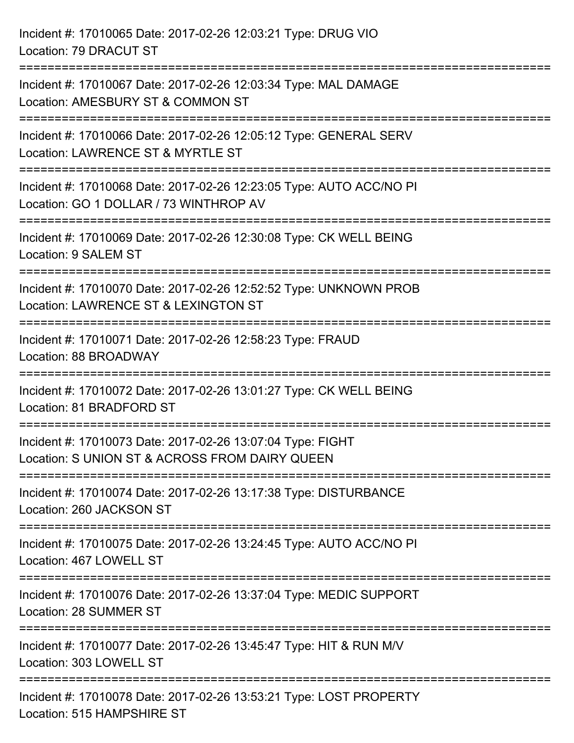| Incident #: 17010065 Date: 2017-02-26 12:03:21 Type: DRUG VIO<br>Location: 79 DRACUT ST                                                                                     |
|-----------------------------------------------------------------------------------------------------------------------------------------------------------------------------|
| Incident #: 17010067 Date: 2017-02-26 12:03:34 Type: MAL DAMAGE<br>Location: AMESBURY ST & COMMON ST                                                                        |
| :==========================<br>Incident #: 17010066 Date: 2017-02-26 12:05:12 Type: GENERAL SERV<br>Location: LAWRENCE ST & MYRTLE ST                                       |
| Incident #: 17010068 Date: 2017-02-26 12:23:05 Type: AUTO ACC/NO PI<br>Location: GO 1 DOLLAR / 73 WINTHROP AV<br>.-------------------------<br>---------------------------- |
| Incident #: 17010069 Date: 2017-02-26 12:30:08 Type: CK WELL BEING<br>Location: 9 SALEM ST                                                                                  |
| Incident #: 17010070 Date: 2017-02-26 12:52:52 Type: UNKNOWN PROB<br>Location: LAWRENCE ST & LEXINGTON ST                                                                   |
| Incident #: 17010071 Date: 2017-02-26 12:58:23 Type: FRAUD<br>Location: 88 BROADWAY                                                                                         |
| Incident #: 17010072 Date: 2017-02-26 13:01:27 Type: CK WELL BEING<br>Location: 81 BRADFORD ST                                                                              |
| Incident #: 17010073 Date: 2017-02-26 13:07:04 Type: FIGHT<br>Location: S UNION ST & ACROSS FROM DAIRY QUEEN                                                                |
| Incident #: 17010074 Date: 2017-02-26 13:17:38 Type: DISTURBANCE<br>Location: 260 JACKSON ST                                                                                |
| Incident #: 17010075 Date: 2017-02-26 13:24:45 Type: AUTO ACC/NO PI<br>Location: 467 LOWELL ST                                                                              |
| Incident #: 17010076 Date: 2017-02-26 13:37:04 Type: MEDIC SUPPORT<br>Location: 28 SUMMER ST                                                                                |
| Incident #: 17010077 Date: 2017-02-26 13:45:47 Type: HIT & RUN M/V<br>Location: 303 LOWELL ST                                                                               |
| Incident #: 17010078 Date: 2017-02-26 13:53:21 Type: LOST PROPERTY<br>Location: 515 HAMPSHIRE ST                                                                            |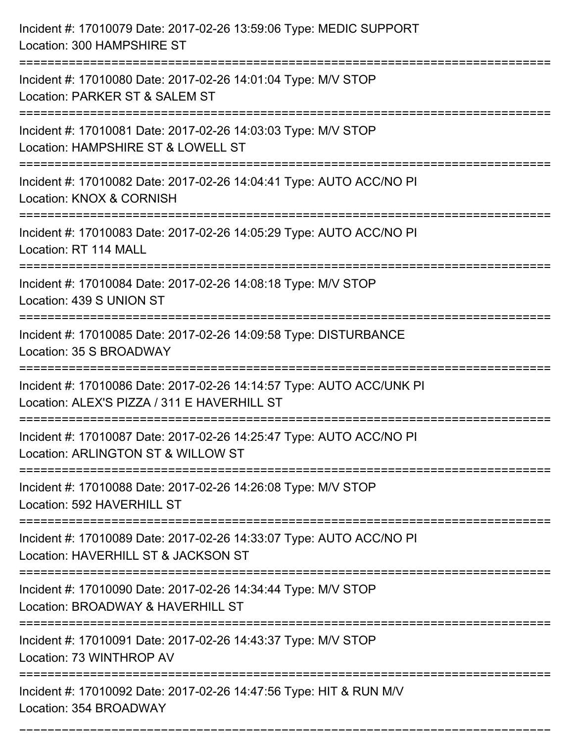| Incident #: 17010079 Date: 2017-02-26 13:59:06 Type: MEDIC SUPPORT<br>Location: 300 HAMPSHIRE ST                    |
|---------------------------------------------------------------------------------------------------------------------|
| Incident #: 17010080 Date: 2017-02-26 14:01:04 Type: M/V STOP<br>Location: PARKER ST & SALEM ST                     |
| Incident #: 17010081 Date: 2017-02-26 14:03:03 Type: M/V STOP<br>Location: HAMPSHIRE ST & LOWELL ST                 |
| Incident #: 17010082 Date: 2017-02-26 14:04:41 Type: AUTO ACC/NO PI<br>Location: KNOX & CORNISH                     |
| Incident #: 17010083 Date: 2017-02-26 14:05:29 Type: AUTO ACC/NO PI<br>Location: RT 114 MALL                        |
| Incident #: 17010084 Date: 2017-02-26 14:08:18 Type: M/V STOP<br>Location: 439 S UNION ST                           |
| Incident #: 17010085 Date: 2017-02-26 14:09:58 Type: DISTURBANCE<br>Location: 35 S BROADWAY                         |
| Incident #: 17010086 Date: 2017-02-26 14:14:57 Type: AUTO ACC/UNK PI<br>Location: ALEX'S PIZZA / 311 E HAVERHILL ST |
| Incident #: 17010087 Date: 2017-02-26 14:25:47 Type: AUTO ACC/NO PI<br>Location: ARLINGTON ST & WILLOW ST           |
| Incident #: 17010088 Date: 2017-02-26 14:26:08 Type: M/V STOP<br>Location: 592 HAVERHILL ST                         |
| Incident #: 17010089 Date: 2017-02-26 14:33:07 Type: AUTO ACC/NO PI<br>Location: HAVERHILL ST & JACKSON ST          |
| Incident #: 17010090 Date: 2017-02-26 14:34:44 Type: M/V STOP<br>Location: BROADWAY & HAVERHILL ST                  |
| =================<br>Incident #: 17010091 Date: 2017-02-26 14:43:37 Type: M/V STOP<br>Location: 73 WINTHROP AV      |
| Incident #: 17010092 Date: 2017-02-26 14:47:56 Type: HIT & RUN M/V<br>Location: 354 BROADWAY                        |

===========================================================================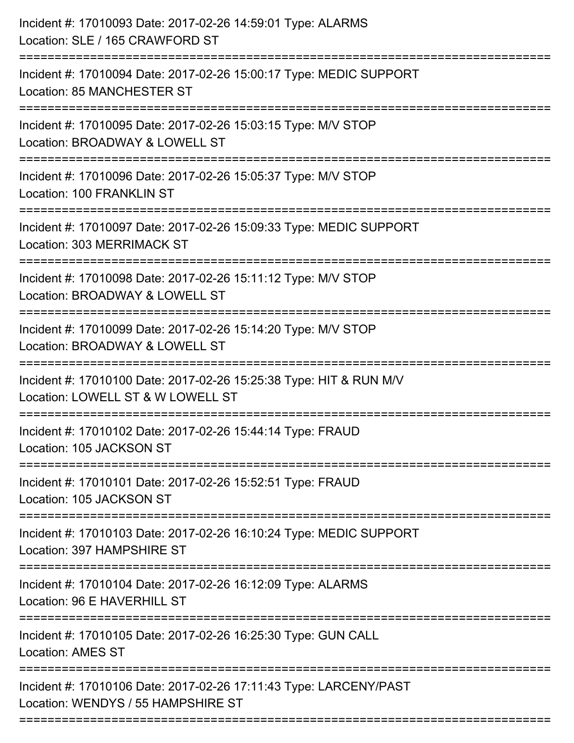| Incident #: 17010094 Date: 2017-02-26 15:00:17 Type: MEDIC SUPPORT<br>Location: 85 MANCHESTER ST<br>Incident #: 17010095 Date: 2017-02-26 15:03:15 Type: M/V STOP<br>Location: BROADWAY & LOWELL ST |
|-----------------------------------------------------------------------------------------------------------------------------------------------------------------------------------------------------|
|                                                                                                                                                                                                     |
| :=====================                                                                                                                                                                              |
| Incident #: 17010096 Date: 2017-02-26 15:05:37 Type: M/V STOP<br>Location: 100 FRANKLIN ST                                                                                                          |
| Incident #: 17010097 Date: 2017-02-26 15:09:33 Type: MEDIC SUPPORT<br><b>Location: 303 MERRIMACK ST</b>                                                                                             |
| Incident #: 17010098 Date: 2017-02-26 15:11:12 Type: M/V STOP<br>Location: BROADWAY & LOWELL ST                                                                                                     |
| Incident #: 17010099 Date: 2017-02-26 15:14:20 Type: M/V STOP<br>Location: BROADWAY & LOWELL ST                                                                                                     |
| Incident #: 17010100 Date: 2017-02-26 15:25:38 Type: HIT & RUN M/V<br>Location: LOWELL ST & W LOWELL ST                                                                                             |
| Incident #: 17010102 Date: 2017-02-26 15:44:14 Type: FRAUD<br>Location: 105 JACKSON ST<br>:=============                                                                                            |
| Incident #: 17010101 Date: 2017-02-26 15:52:51 Type: FRAUD<br>Location: 105 JACKSON ST                                                                                                              |
| ========================<br>Incident #: 17010103 Date: 2017-02-26 16:10:24 Type: MEDIC SUPPORT<br>Location: 397 HAMPSHIRE ST                                                                        |
| Incident #: 17010104 Date: 2017-02-26 16:12:09 Type: ALARMS<br>Location: 96 E HAVERHILL ST                                                                                                          |
| Incident #: 17010105 Date: 2017-02-26 16:25:30 Type: GUN CALL<br><b>Location: AMES ST</b>                                                                                                           |
| Incident #: 17010106 Date: 2017-02-26 17:11:43 Type: LARCENY/PAST<br>Location: WENDYS / 55 HAMPSHIRE ST                                                                                             |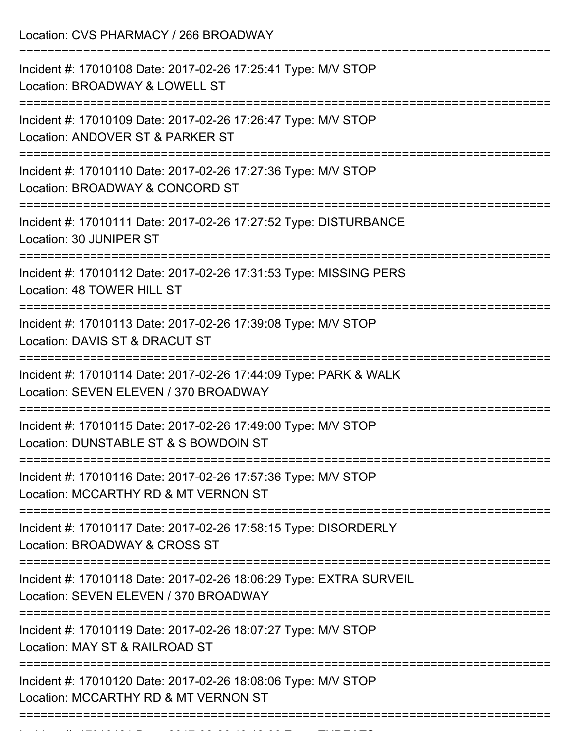Location: CVS PHARMACY / 266 BROADWAY =========================================================================== Incident #: 17010108 Date: 2017-02-26 17:25:41 Type: M/V STOP Location: BROADWAY & LOWELL ST =========================================================================== Incident #: 17010109 Date: 2017-02-26 17:26:47 Type: M/V STOP Location: ANDOVER ST & PARKER ST =========================================================================== Incident #: 17010110 Date: 2017-02-26 17:27:36 Type: M/V STOP Location: BROADWAY & CONCORD ST =========================================================================== Incident #: 17010111 Date: 2017-02-26 17:27:52 Type: DISTURBANCE Location: 30 JUNIPER ST =========================================================================== Incident #: 17010112 Date: 2017-02-26 17:31:53 Type: MISSING PERS Location: 48 TOWER HILL ST =========================================================================== Incident #: 17010113 Date: 2017-02-26 17:39:08 Type: M/V STOP Location: DAVIS ST & DRACUT ST =========================================================================== Incident #: 17010114 Date: 2017-02-26 17:44:09 Type: PARK & WALK Location: SEVEN ELEVEN / 370 BROADWAY =========================================================================== Incident #: 17010115 Date: 2017-02-26 17:49:00 Type: M/V STOP Location: DUNSTABLE ST & S BOWDOIN ST =========================================================================== Incident #: 17010116 Date: 2017-02-26 17:57:36 Type: M/V STOP Location: MCCARTHY RD & MT VERNON ST =========================================================================== Incident #: 17010117 Date: 2017-02-26 17:58:15 Type: DISORDERLY Location: BROADWAY & CROSS ST =========================================================================== Incident #: 17010118 Date: 2017-02-26 18:06:29 Type: EXTRA SURVEIL Location: SEVEN ELEVEN / 370 BROADWAY =========================================================================== Incident #: 17010119 Date: 2017-02-26 18:07:27 Type: M/V STOP Location: MAY ST & RAILROAD ST =========================================================================== Incident #: 17010120 Date: 2017-02-26 18:08:06 Type: M/V STOP Location: MCCARTHY RD & MT VERNON ST ===========================================================================

Incident #: 17010121 Date: 2017 02 26 18:12:38 Type: THREATS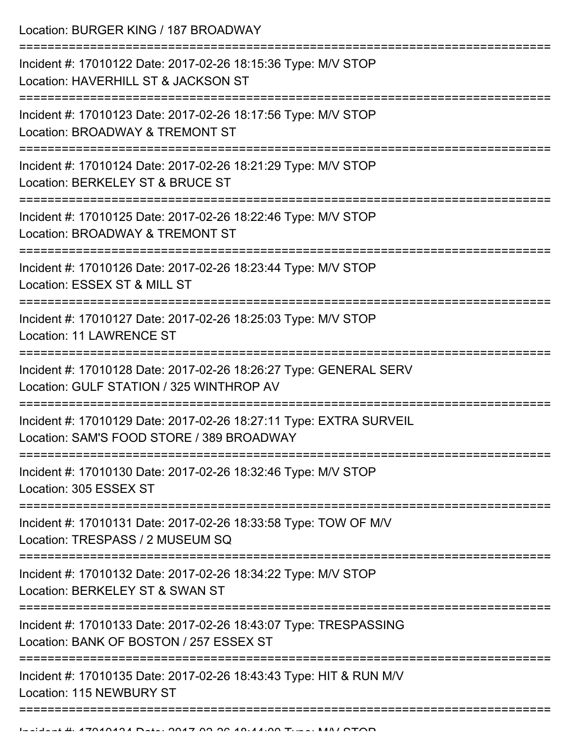Location: BURGER KING / 187 BROADWAY

| Incident #: 17010122 Date: 2017-02-26 18:15:36 Type: M/V STOP<br>Location: HAVERHILL ST & JACKSON ST            |
|-----------------------------------------------------------------------------------------------------------------|
| Incident #: 17010123 Date: 2017-02-26 18:17:56 Type: M/V STOP<br>Location: BROADWAY & TREMONT ST                |
| Incident #: 17010124 Date: 2017-02-26 18:21:29 Type: M/V STOP<br>Location: BERKELEY ST & BRUCE ST               |
| Incident #: 17010125 Date: 2017-02-26 18:22:46 Type: M/V STOP<br>Location: BROADWAY & TREMONT ST                |
| Incident #: 17010126 Date: 2017-02-26 18:23:44 Type: M/V STOP<br>Location: ESSEX ST & MILL ST                   |
| Incident #: 17010127 Date: 2017-02-26 18:25:03 Type: M/V STOP<br><b>Location: 11 LAWRENCE ST</b>                |
| Incident #: 17010128 Date: 2017-02-26 18:26:27 Type: GENERAL SERV<br>Location: GULF STATION / 325 WINTHROP AV   |
| Incident #: 17010129 Date: 2017-02-26 18:27:11 Type: EXTRA SURVEIL<br>Location: SAM'S FOOD STORE / 389 BROADWAY |
| Incident #: 17010130 Date: 2017-02-26 18:32:46 Type: M/V STOP<br>Location: 305 ESSEX ST                         |
| Incident #: 17010131 Date: 2017-02-26 18:33:58 Type: TOW OF M/V<br>Location: TRESPASS / 2 MUSEUM SQ             |
| Incident #: 17010132 Date: 2017-02-26 18:34:22 Type: M/V STOP<br>Location: BERKELEY ST & SWAN ST                |
| Incident #: 17010133 Date: 2017-02-26 18:43:07 Type: TRESPASSING<br>Location: BANK OF BOSTON / 257 ESSEX ST     |
| Incident #: 17010135 Date: 2017-02-26 18:43:43 Type: HIT & RUN M/V<br>Location: 115 NEWBURY ST                  |
|                                                                                                                 |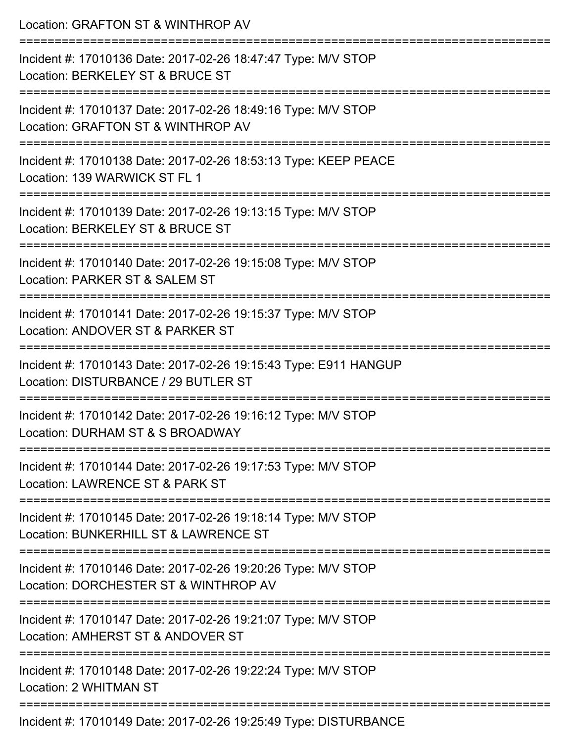| Location: GRAFTON ST & WINTHROP AV                                                                       |
|----------------------------------------------------------------------------------------------------------|
| Incident #: 17010136 Date: 2017-02-26 18:47:47 Type: M/V STOP<br>Location: BERKELEY ST & BRUCE ST        |
| Incident #: 17010137 Date: 2017-02-26 18:49:16 Type: M/V STOP<br>Location: GRAFTON ST & WINTHROP AV      |
| Incident #: 17010138 Date: 2017-02-26 18:53:13 Type: KEEP PEACE<br>Location: 139 WARWICK ST FL 1         |
| Incident #: 17010139 Date: 2017-02-26 19:13:15 Type: M/V STOP<br>Location: BERKELEY ST & BRUCE ST        |
| Incident #: 17010140 Date: 2017-02-26 19:15:08 Type: M/V STOP<br>Location: PARKER ST & SALEM ST          |
| Incident #: 17010141 Date: 2017-02-26 19:15:37 Type: M/V STOP<br>Location: ANDOVER ST & PARKER ST        |
| Incident #: 17010143 Date: 2017-02-26 19:15:43 Type: E911 HANGUP<br>Location: DISTURBANCE / 29 BUTLER ST |
| Incident #: 17010142 Date: 2017-02-26 19:16:12 Type: M/V STOP<br>Location: DURHAM ST & S BROADWAY        |
| Incident #: 17010144 Date: 2017-02-26 19:17:53 Type: M/V STOP<br>Location: LAWRENCE ST & PARK ST         |
| Incident #: 17010145 Date: 2017-02-26 19:18:14 Type: M/V STOP<br>Location: BUNKERHILL ST & LAWRENCE ST   |
| Incident #: 17010146 Date: 2017-02-26 19:20:26 Type: M/V STOP<br>Location: DORCHESTER ST & WINTHROP AV   |
| Incident #: 17010147 Date: 2017-02-26 19:21:07 Type: M/V STOP<br>Location: AMHERST ST & ANDOVER ST       |
| Incident #: 17010148 Date: 2017-02-26 19:22:24 Type: M/V STOP<br>Location: 2 WHITMAN ST                  |
| Incident #: 17010149 Date: 2017-02-26 19:25:49 Type: DISTURBANCE                                         |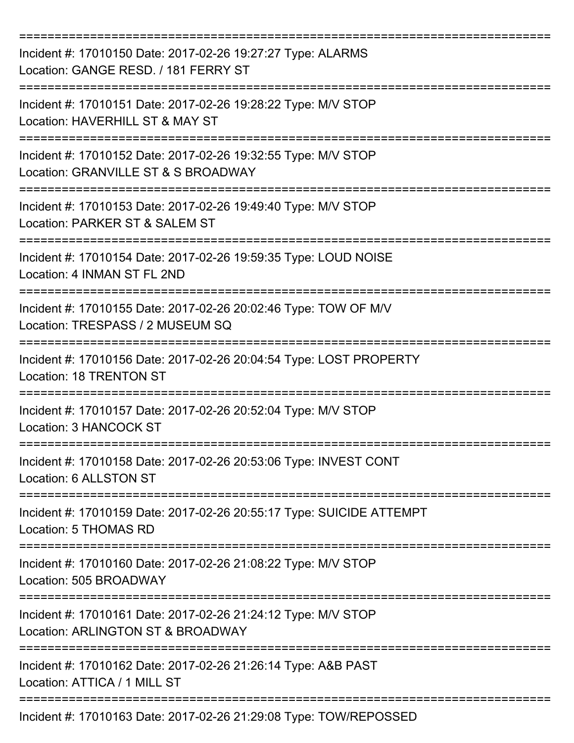| Incident #: 17010150 Date: 2017-02-26 19:27:27 Type: ALARMS<br>Location: GANGE RESD. / 181 FERRY ST                                         |
|---------------------------------------------------------------------------------------------------------------------------------------------|
| Incident #: 17010151 Date: 2017-02-26 19:28:22 Type: M/V STOP<br>Location: HAVERHILL ST & MAY ST                                            |
| Incident #: 17010152 Date: 2017-02-26 19:32:55 Type: M/V STOP<br>Location: GRANVILLE ST & S BROADWAY                                        |
| Incident #: 17010153 Date: 2017-02-26 19:49:40 Type: M/V STOP<br>Location: PARKER ST & SALEM ST                                             |
| Incident #: 17010154 Date: 2017-02-26 19:59:35 Type: LOUD NOISE<br>Location: 4 INMAN ST FL 2ND                                              |
| Incident #: 17010155 Date: 2017-02-26 20:02:46 Type: TOW OF M/V<br>Location: TRESPASS / 2 MUSEUM SQ                                         |
| Incident #: 17010156 Date: 2017-02-26 20:04:54 Type: LOST PROPERTY<br><b>Location: 18 TRENTON ST</b>                                        |
| Incident #: 17010157 Date: 2017-02-26 20:52:04 Type: M/V STOP<br>Location: 3 HANCOCK ST                                                     |
| Incident #: 17010158 Date: 2017-02-26 20:53:06 Type: INVEST CONT<br>Location: 6 ALLSTON ST                                                  |
| Incident #: 17010159 Date: 2017-02-26 20:55:17 Type: SUICIDE ATTEMPT<br>Location: 5 THOMAS RD                                               |
| Incident #: 17010160 Date: 2017-02-26 21:08:22 Type: M/V STOP<br>Location: 505 BROADWAY                                                     |
| ;====================================<br>Incident #: 17010161 Date: 2017-02-26 21:24:12 Type: M/V STOP<br>Location: ARLINGTON ST & BROADWAY |
| Incident #: 17010162 Date: 2017-02-26 21:26:14 Type: A&B PAST<br>Location: ATTICA / 1 MILL ST                                               |
| Incident #: 17010163 Date: 2017-02-26 21:29:08 Type: TOW/REPOSSED                                                                           |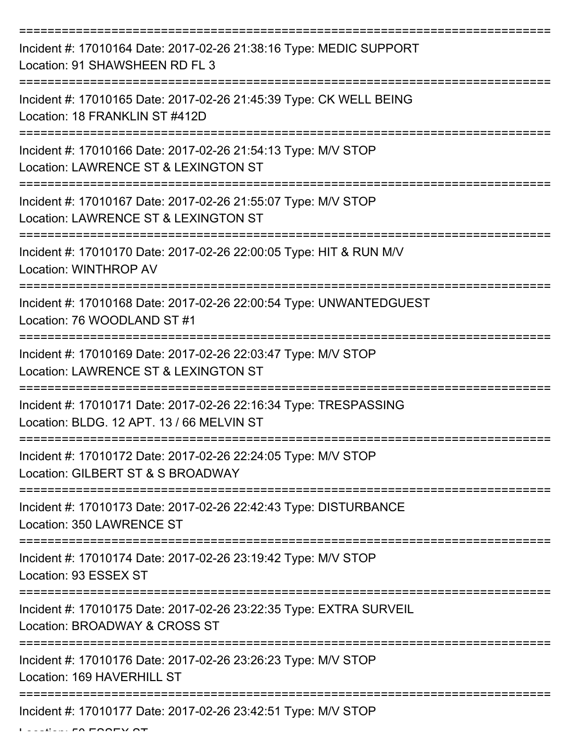| Incident #: 17010164 Date: 2017-02-26 21:38:16 Type: MEDIC SUPPORT<br>Location: 91 SHAWSHEEN RD FL 3          |
|---------------------------------------------------------------------------------------------------------------|
| Incident #: 17010165 Date: 2017-02-26 21:45:39 Type: CK WELL BEING<br>Location: 18 FRANKLIN ST #412D          |
| Incident #: 17010166 Date: 2017-02-26 21:54:13 Type: M/V STOP<br>Location: LAWRENCE ST & LEXINGTON ST         |
| Incident #: 17010167 Date: 2017-02-26 21:55:07 Type: M/V STOP<br>Location: LAWRENCE ST & LEXINGTON ST         |
| Incident #: 17010170 Date: 2017-02-26 22:00:05 Type: HIT & RUN M/V<br><b>Location: WINTHROP AV</b>            |
| Incident #: 17010168 Date: 2017-02-26 22:00:54 Type: UNWANTEDGUEST<br>Location: 76 WOODLAND ST #1             |
| Incident #: 17010169 Date: 2017-02-26 22:03:47 Type: M/V STOP<br>Location: LAWRENCE ST & LEXINGTON ST         |
| Incident #: 17010171 Date: 2017-02-26 22:16:34 Type: TRESPASSING<br>Location: BLDG. 12 APT. 13 / 66 MELVIN ST |
| Incident #: 17010172 Date: 2017-02-26 22:24:05 Type: M/V STOP<br>Location: GILBERT ST & S BROADWAY            |
| Incident #: 17010173 Date: 2017-02-26 22:42:43 Type: DISTURBANCE<br>Location: 350 LAWRENCE ST                 |
| Incident #: 17010174 Date: 2017-02-26 23:19:42 Type: M/V STOP<br>Location: 93 ESSEX ST                        |
| Incident #: 17010175 Date: 2017-02-26 23:22:35 Type: EXTRA SURVEIL<br>Location: BROADWAY & CROSS ST           |
| Incident #: 17010176 Date: 2017-02-26 23:26:23 Type: M/V STOP<br>Location: 169 HAVERHILL ST                   |
| Incident #: 17010177 Date: 2017-02-26 23:42:51 Type: M/V STOP                                                 |

 $L = L$  .  $L = F \cap F \cap T$